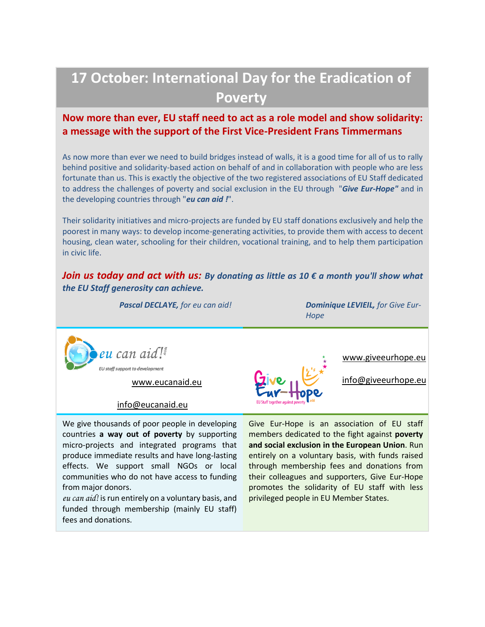# **17 October: International Day for the Eradication of Poverty**

## **Now more than ever, EU staff need to act as a role model and show solidarity: a message with the support of the First Vice-President Frans Timmermans**

As now more than ever we need to build bridges instead of walls, it is a good time for all of us to rally behind positive and solidarity-based action on behalf of and in collaboration with people who are less fortunate than us. This is exactly the objective of the two registered associations of EU Staff dedicated to address the challenges of poverty and social exclusion in the EU through "*Give Eur-Hope"* and in the developing countries through "*eu can aid !*".

Their solidarity initiatives and micro-projects are funded by EU staff donations exclusively and help the poorest in many ways: to develop income-generating activities, to provide them with access to decent housing, clean water, schooling for their children, vocational training, and to help them participation in civic life.

*Join us today and act with us: By donating as little as 10 € a month you'll show what the EU Staff generosity can achieve.*

*Pascal DECLAYE, for eu can aid! Dominique LEVIEIL, for Give Eur-Hope*



[www.eucanaid.eu](http://www.eucanaid.eu/)

[info@eucanaid.eu](mailto:info@eucanaid.eu)

We give thousands of poor people in developing countries **a way out of poverty** by supporting micro-projects and integrated programs that produce immediate results and have long-lasting effects. We support small NGOs or local communities who do not have access to funding from major donors.

*eu can aid!* is run entirely on a voluntary basis, and funded through membership (mainly EU staff) fees and donations.



[www.giveeurhope.eu](http://www.giveeurhope.eu/)

[info@giveeurhope.eu](mailto:info@giveeurhope.eu)

Give Eur-Hope is an association of EU staff members dedicated to the fight against **poverty and social exclusion in the European Union**. Run entirely on a voluntary basis, with funds raised through membership fees and donations from their colleagues and supporters, Give Eur-Hope promotes the solidarity of EU staff with less privileged people in EU Member States.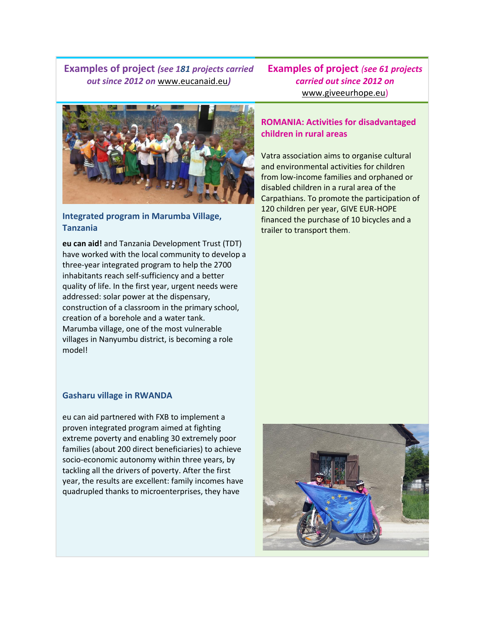**Examples of project** *(see 181 projects carried out since 2012 on* [www.eucanaid.eu](http://www.eucanaid.eu/)*)*

**Examples of project** *(see 61 projects carried out since 2012 on*  [www.giveeurhope.eu\)](http://www.giveeurhope.eu/)



### **Integrated program in Marumba Village, Tanzania**

**eu can aid!** and Tanzania Development Trust (TDT) have worked with the local community to develop a three-year integrated program to help the 2700 inhabitants reach self-sufficiency and a better quality of life. In the first year, urgent needs were addressed: solar power at the dispensary, construction of a classroom in the primary school, creation of a borehole and a water tank. Marumba village, one of the most vulnerable villages in Nanyumbu district, is becoming a role model!

#### **Gasharu village in RWANDA**

eu can aid partnered with FXB to implement a proven integrated program aimed at fighting extreme poverty and enabling 30 extremely poor families (about 200 direct beneficiaries) to achieve socio-economic autonomy within three years, by tackling all the drivers of poverty. After the first year, the results are excellent: family incomes have quadrupled thanks to microenterprises, they have

#### **ROMANIA: Activities for disadvantaged children in rural areas**

Vatra association aims to organise cultural and environmental activities for children from low-income families and orphaned or disabled children in a rural area of the Carpathians. To promote the participation of 120 children per year, GIVE EUR-HOPE financed the purchase of 10 bicycles and a trailer to transport them.